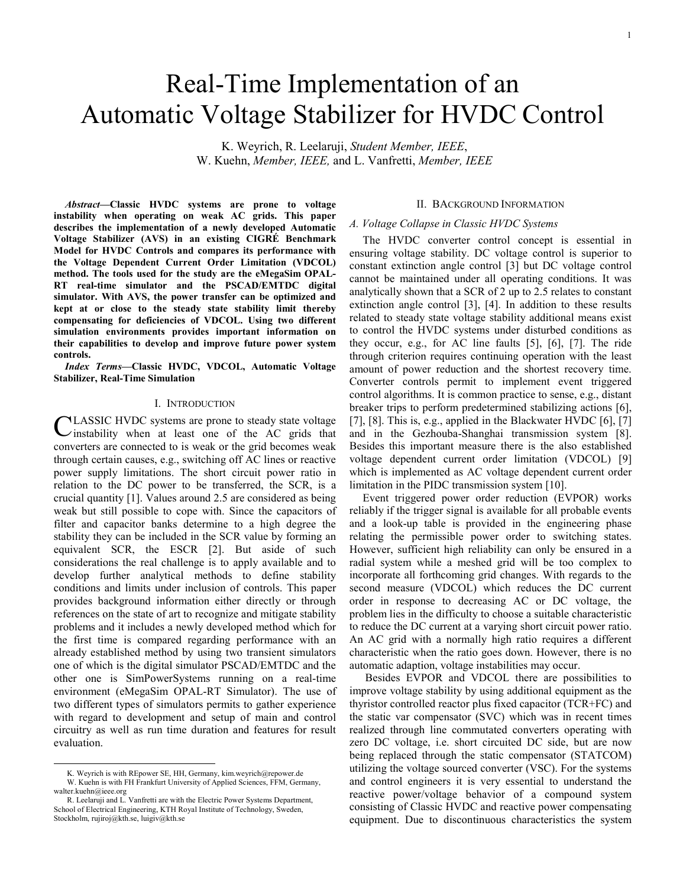# Real-Time Implementation of an Automatic Voltage Stabilizer for HVDC Control

K. Weyrich, R. Leelaruji, *Student Member, IEEE*, W. Kuehn, *Member, IEEE,* and L. Vanfretti, *Member, IEEE*

*Abstract***—Classic HVDC systems are prone to voltage instability when operating on weak AC grids. This paper describes the implementation of a newly developed Automatic Voltage Stabilizer (AVS) in an existing CIGRÉ Benchmark Model for HVDC Controls and compares its performance with the Voltage Dependent Current Order Limitation (VDCOL) method. The tools used for the study are the eMegaSim OPAL-RT real-time simulator and the PSCAD/EMTDC digital simulator. With AVS, the power transfer can be optimized and kept at or close to the steady state stability limit thereby compensating for deficiencies of VDCOL. Using two different simulation environments provides important information on their capabilities to develop and improve future power system controls.**

*Index Terms***—Classic HVDC, VDCOL, Automatic Voltage Stabilizer, Real-Time Simulation**

#### I. INTRODUCTION

CLASSIC HVDC systems are prone to steady state voltage instability when at least one of the AC grids that  $\lambda$  instability when at least one of the AC grids that converters are connected to is weak or the grid becomes weak through certain causes, e.g., switching off AC lines or reactive power supply limitations. The short circuit power ratio in relation to the DC power to be transferred, the SCR, is a crucial quantity [1]. Values around 2.5 are considered as being weak but still possible to cope with. Since the capacitors of filter and capacitor banks determine to a high degree the stability they can be included in the SCR value by forming an equivalent SCR, the ESCR [2]. But aside of such considerations the real challenge is to apply available and to develop further analytical methods to define stability conditions and limits under inclusion of controls. This paper provides background information either directly or through references on the state of art to recognize and mitigate stability problems and it includes a newly developed method which for the first time is compared regarding performance with an already established method by using two transient simulators one of which is the digital simulator PSCAD/EMTDC and the other one is SimPowerSystems running on a real-time environment (eMegaSim OPAL-RT Simulator). The use of two different types of simulators permits to gather experience with regard to development and setup of main and control circuitry as well as run time duration and features for result evaluation.

## II. BACKGROUND INFORMATION

#### *A. Voltage Collapse in Classic HVDC Systems*

The HVDC converter control concept is essential in ensuring voltage stability. DC voltage control is superior to constant extinction angle control [3] but DC voltage control cannot be maintained under all operating conditions. It was analytically shown that a SCR of 2 up to 2.5 relates to constant extinction angle control [3], [4]. In addition to these results related to steady state voltage stability additional means exist to control the HVDC systems under disturbed conditions as they occur, e.g., for AC line faults [5], [6], [7]. The ride through criterion requires continuing operation with the least amount of power reduction and the shortest recovery time. Converter controls permit to implement event triggered control algorithms. It is common practice to sense, e.g., distant breaker trips to perform predetermined stabilizing actions [6], [7], [8]. This is, e.g., applied in the Blackwater HVDC  $[6]$ , [7] and in the Gezhouba-Shanghai transmission system [8]. Besides this important measure there is the also established voltage dependent current order limitation (VDCOL) [9] which is implemented as AC voltage dependent current order limitation in the PIDC transmission system [10].

Event triggered power order reduction (EVPOR) works reliably if the trigger signal is available for all probable events and a look-up table is provided in the engineering phase relating the permissible power order to switching states. However, sufficient high reliability can only be ensured in a radial system while a meshed grid will be too complex to incorporate all forthcoming grid changes. With regards to the second measure (VDCOL) which reduces the DC current order in response to decreasing AC or DC voltage, the problem lies in the difficulty to choose a suitable characteristic to reduce the DC current at a varying short circuit power ratio. An AC grid with a normally high ratio requires a different characteristic when the ratio goes down. However, there is no automatic adaption, voltage instabilities may occur.

Besides EVPOR and VDCOL there are possibilities to improve voltage stability by using additional equipment as the thyristor controlled reactor plus fixed capacitor (TCR+FC) and the static var compensator (SVC) which was in recent times realized through line commutated converters operating with zero DC voltage, i.e. short circuited DC side, but are now being replaced through the static compensator (STATCOM) utilizing the voltage sourced converter (VSC). For the systems and control engineers it is very essential to understand the reactive power/voltage behavior of a compound system consisting of Classic HVDC and reactive power compensating equipment. Due to discontinuous characteristics the system

K. Weyrich is with REpower SE, HH, Germany, kim.weyrich@repower.de W. Kuehn is with FH Frankfurt University of Applied Sciences, FFM, Germany, walter.kuehn@ieee.org

R. Leelaruji and L. Vanfretti are with the Electric Power Systems Department, School of Electrical Engineering, KTH Royal Institute of Technology, Sweden, Stockholm, rujiroj@kth.se, luigiv@kth.se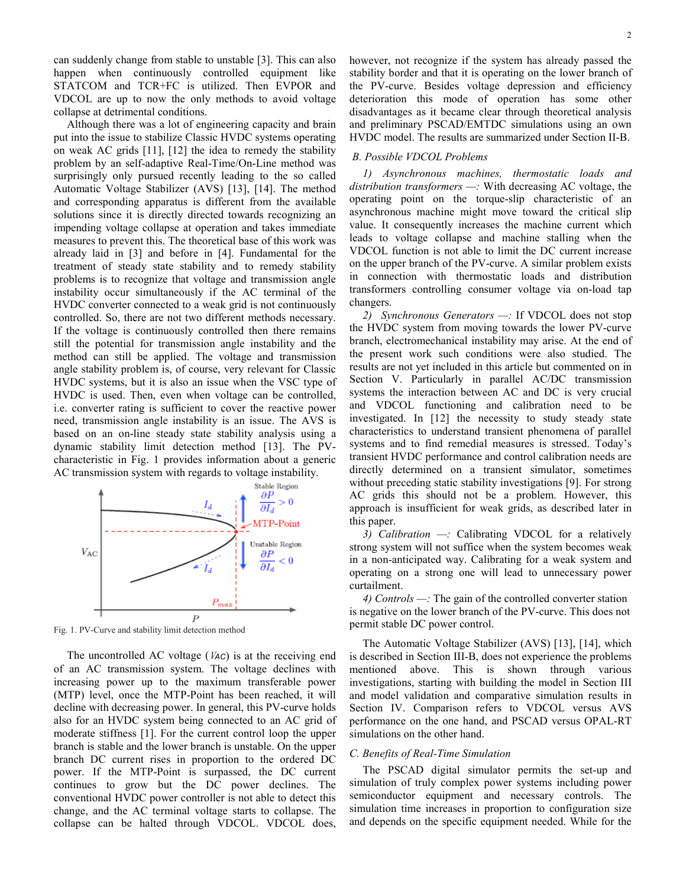can suddenly change from stable to unstable [3]. This can also happen when continuously controlled equipment like STATCOM and TCR+FC is utilized. Then EVPOR and VDCOL are up to now the only methods to avoid voltage collapse at detrimental conditions.

Although there was a lot of engineering capacity and brain put into the issue to stabilize Classic HVDC systems operating on weak AC grids [11], [12] the idea to remedy the stability problem by an self-adaptive Real-Time/On-Line method was surprisingly only pursued recently leading to the so called Automatic Voltage Stabilizer (AVS) [13], [14]. The method and corresponding apparatus is different from the available solutions since it is directly directed towards recognizing an impending voltage collapse at operation and takes immediate measures to prevent this. The theoretical base of this work was already laid in [3] and before in [4]. Fundamental for the treatment of steady state stability and to remedy stability problems is to recognize that voltage and transmission angle instability occur simultaneously if the AC terminal of the HVDC converter connected to a weak grid is not continuously controlled. So, there are not two different methods necessary. If the voltage is continuously controlled then there remains still the potential for transmission angle instability and the method can still be applied. The voltage and transmission angle stability problem is, of course, very relevant for Classic HVDC systems, but it is also an issue when the VSC type of HVDC is used. Then, even when voltage can be controlled, i.e. converter rating is sufficient to cover the reactive power need, transmission angle instability is an issue. The AVS is based on an on-line steady state stability analysis using a dynamic stability limit detection method [13]. The PVcharacteristic in Fig. 1 provides information about a generic AC transmission system with regards to voltage instability.



Fig. 1. PV-Curve and stability limit detection method

The uncontrolled AC voltage (<sup>V</sup>*AC*) is at the receiving end of an AC transmission system. The voltage declines with increasing power up to the maximum transferable power (MTP) level, once the MTP-Point has been reached, it will decline with decreasing power. In general, this PV-curve holds also for an HVDC system being connected to an AC grid of moderate stiffness [1]. For the current control loop the upper branch is stable and the lower branch is unstable. On the upper branch DC current rises in proportion to the ordered DC power. If the MTP-Point is surpassed, the DC current continues to grow but the DC power declines. The conventional HVDC power controller is not able to detect this change, and the AC terminal voltage starts to collapse. The collapse can be halted through VDCOL. VDCOL does,

however, not recognize if the system has already passed the stability border and that it is operating on the lower branch of the PV-curve. Besides voltage depression and efficiency deterioration this mode of operation has some other disadvantages as it became clear through theoretical analysis and preliminary PSCAD/EMTDC simulations using an own HVDC model. The results are summarized under Section II-B.

# *B. Possible VDCOL Problems*

*1) Asynchronous machines, thermostatic loads and distribution transformers —:* With decreasing AC voltage, the operating point on the torque-slip characteristic of an asynchronous machine might move toward the critical slip value. It consequently increases the machine current which leads to voltage collapse and machine stalling when the VDCOL function is not able to limit the DC current increase on the upper branch of the PV-curve. A similar problem exists in connection with thermostatic loads and distribution transformers controlling consumer voltage via on-load tap changers.

*2) Synchronous Generators —:* If VDCOL does not stop the HVDC system from moving towards the lower PV-curve branch, electromechanical instability may arise. At the end of the present work such conditions were also studied. The results are not yet included in this article but commented on in Section V. Particularly in parallel AC/DC transmission systems the interaction between AC and DC is very crucial and VDCOL functioning and calibration need to be investigated. In [12] the necessity to study steady state characteristics to understand transient phenomena of parallel systems and to find remedial measures is stressed. Today's transient HVDC performance and control calibration needs are directly determined on a transient simulator, sometimes without preceding static stability investigations [9]. For strong AC grids this should not be a problem. However, this approach is insufficient for weak grids, as described later in this paper.

*3) Calibration —:* Calibrating VDCOL for a relatively strong system will not suffice when the system becomes weak in a non-anticipated way. Calibrating for a weak system and operating on a strong one will lead to unnecessary power curtailment.

*4) Controls —:* The gain of the controlled converter station is negative on the lower branch of the PV-curve. This does not permit stable DC power control.

The Automatic Voltage Stabilizer (AVS) [13], [14], which is described in Section III-B, does not experience the problems mentioned above. This is shown through various investigations, starting with building the model in Section III and model validation and comparative simulation results in Section IV. Comparison refers to VDCOL versus AVS performance on the one hand, and PSCAD versus OPAL-RT simulations on the other hand.

# *C. Benefits of Real-Time Simulation*

The PSCAD digital simulator permits the set-up and simulation of truly complex power systems including power semiconductor equipment and necessary controls. The simulation time increases in proportion to configuration size and depends on the specific equipment needed. While for the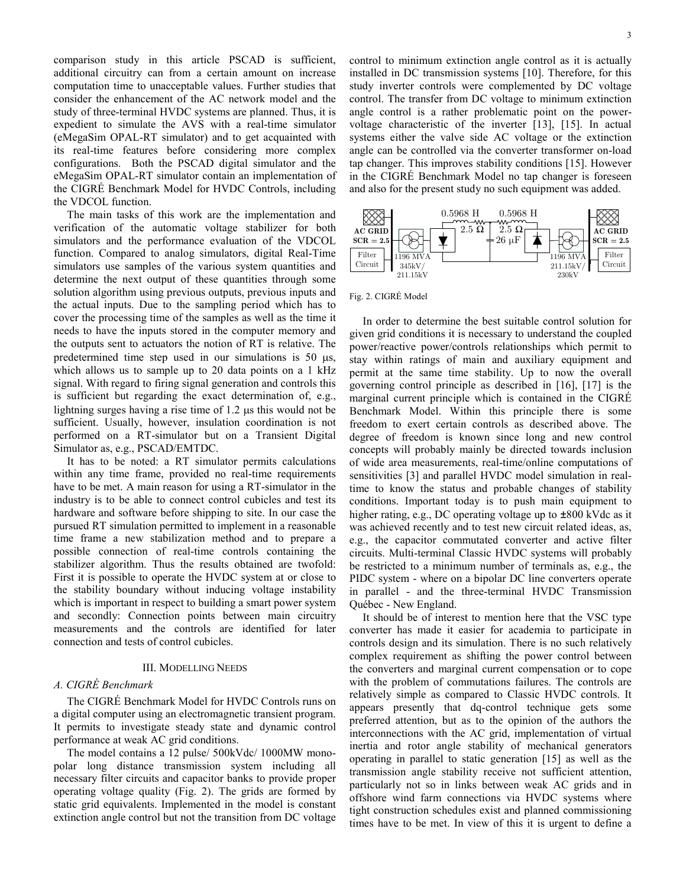comparison study in this article PSCAD is sufficient, additional circuitry can from a certain amount on increase computation time to unacceptable values. Further studies that consider the enhancement of the AC network model and the study of three-terminal HVDC systems are planned. Thus, it is expedient to simulate the AVS with a real-time simulator (eMegaSim OPAL-RT simulator) and to get acquainted with its real-time features before considering more complex configurations. Both the PSCAD digital simulator and the eMegaSim OPAL-RT simulator contain an implementation of the CIGRÉ Benchmark Model for HVDC Controls, including the VDCOL function.

The main tasks of this work are the implementation and verification of the automatic voltage stabilizer for both simulators and the performance evaluation of the VDCOL function. Compared to analog simulators, digital Real-Time simulators use samples of the various system quantities and determine the next output of these quantities through some solution algorithm using previous outputs, previous inputs and the actual inputs. Due to the sampling period which has to cover the processing time of the samples as well as the time it needs to have the inputs stored in the computer memory and the outputs sent to actuators the notion of RT is relative. The predetermined time step used in our simulations is 50 µs, which allows us to sample up to 20 data points on a 1 kHz signal. With regard to firing signal generation and controls this is sufficient but regarding the exact determination of, e.g., lightning surges having a rise time of 1.2 µs this would not be sufficient. Usually, however, insulation coordination is not performed on a RT-simulator but on a Transient Digital Simulator as, e.g., PSCAD/EMTDC.

It has to be noted: a RT simulator permits calculations within any time frame, provided no real-time requirements have to be met. A main reason for using a RT-simulator in the industry is to be able to connect control cubicles and test its hardware and software before shipping to site. In our case the pursued RT simulation permitted to implement in a reasonable time frame a new stabilization method and to prepare a possible connection of real-time controls containing the stabilizer algorithm. Thus the results obtained are twofold: First it is possible to operate the HVDC system at or close to the stability boundary without inducing voltage instability which is important in respect to building a smart power system and secondly: Connection points between main circuitry measurements and the controls are identified for later connection and tests of control cubicles.

#### III. MODELLING NEEDS

# *A. CIGRÉ Benchmark*

The CIGRÉ Benchmark Model for HVDC Controls runs on a digital computer using an electromagnetic transient program. It permits to investigate steady state and dynamic control performance at weak AC grid conditions.

The model contains a 12 pulse/ 500kVdc/ 1000MW monopolar long distance transmission system including all necessary filter circuits and capacitor banks to provide proper operating voltage quality (Fig. 2). The grids are formed by static grid equivalents. Implemented in the model is constant extinction angle control but not the transition from DC voltage control to minimum extinction angle control as it is actually installed in DC transmission systems [10]. Therefore, for this study inverter controls were complemented by DC voltage control. The transfer from DC voltage to minimum extinction angle control is a rather problematic point on the powervoltage characteristic of the inverter [13], [15]. In actual systems either the valve side AC voltage or the extinction angle can be controlled via the converter transformer on-load tap changer. This improves stability conditions [15]. However in the CIGRÉ Benchmark Model no tap changer is foreseen and also for the present study no such equipment was added.



Fig. 2. CIGRÉ Model

In order to determine the best suitable control solution for given grid conditions it is necessary to understand the coupled power/reactive power/controls relationships which permit to stay within ratings of main and auxiliary equipment and permit at the same time stability. Up to now the overall governing control principle as described in [16], [17] is the marginal current principle which is contained in the CIGRÉ Benchmark Model. Within this principle there is some freedom to exert certain controls as described above. The degree of freedom is known since long and new control concepts will probably mainly be directed towards inclusion of wide area measurements, real-time/online computations of sensitivities [3] and parallel HVDC model simulation in realtime to know the status and probable changes of stability conditions. Important today is to push main equipment to higher rating, e.g., DC operating voltage up to *±*800 kVdc as it was achieved recently and to test new circuit related ideas, as, e.g., the capacitor commutated converter and active filter circuits. Multi-terminal Classic HVDC systems will probably be restricted to a minimum number of terminals as, e.g., the PIDC system - where on a bipolar DC line converters operate in parallel - and the three-terminal HVDC Transmission Québec - New England.

It should be of interest to mention here that the VSC type converter has made it easier for academia to participate in controls design and its simulation. There is no such relatively complex requirement as shifting the power control between the converters and marginal current compensation or to cope with the problem of commutations failures. The controls are relatively simple as compared to Classic HVDC controls. It appears presently that dq-control technique gets some preferred attention, but as to the opinion of the authors the interconnections with the AC grid, implementation of virtual inertia and rotor angle stability of mechanical generators operating in parallel to static generation [15] as well as the transmission angle stability receive not sufficient attention, particularly not so in links between weak AC grids and in offshore wind farm connections via HVDC systems where tight construction schedules exist and planned commissioning times have to be met. In view of this it is urgent to define a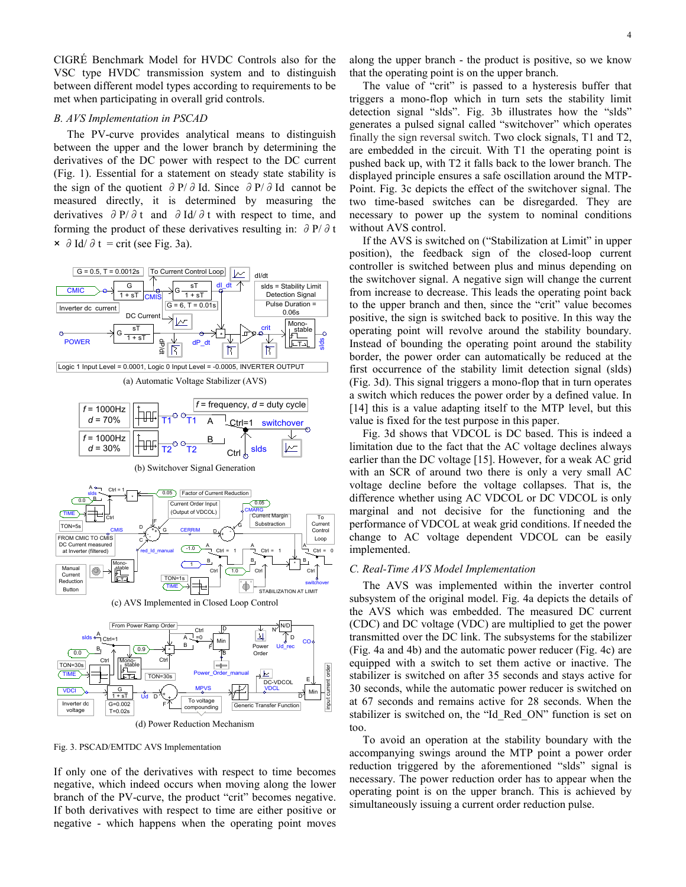CIGRÉ Benchmark Model for HVDC Controls also for the VSC type HVDC transmission system and to distinguish between different model types according to requirements to be met when participating in overall grid controls.

# *B. AVS Implementation in PSCAD*

The PV-curve provides analytical means to distinguish between the upper and the lower branch by determining the derivatives of the DC power with respect to the DC current (Fig. 1). Essential for a statement on steady state stability is the sign of the quotient ∂P/∂Id. Since ∂P/∂Id cannot be measured directly, it is determined by measuring the derivatives ∂P/∂t and ∂Id/∂t with respect to time, and forming the product of these derivatives resulting in:  $\partial P/\partial t$  $\times$  ∂Id/∂t = crit (see Fig. 3a).



(d) Power Reduction Mechanism

Fig. 3. PSCAD/EMTDC AVS Implementation

If only one of the derivatives with respect to time becomes negative, which indeed occurs when moving along the lower branch of the PV-curve, the product "crit" becomes negative. If both derivatives with respect to time are either positive or negative - which happens when the operating point moves along the upper branch - the product is positive, so we know that the operating point is on the upper branch.

The value of "crit" is passed to a hysteresis buffer that triggers a mono-flop which in turn sets the stability limit detection signal "slds". Fig. 3b illustrates how the "slds" generates a pulsed signal called "switchover" which operates finally the sign reversal switch. Two clock signals, T1 and T2, are embedded in the circuit. With T1 the operating point is pushed back up, with T2 it falls back to the lower branch. The displayed principle ensures a safe oscillation around the MTP-Point. Fig. 3c depicts the effect of the switchover signal. The two time-based switches can be disregarded. They are necessary to power up the system to nominal conditions without AVS control.

If the AVS is switched on ("Stabilization at Limit" in upper position), the feedback sign of the closed-loop current controller is switched between plus and minus depending on the switchover signal. A negative sign will change the current from increase to decrease. This leads the operating point back to the upper branch and then, since the "crit" value becomes positive, the sign is switched back to positive. In this way the operating point will revolve around the stability boundary. Instead of bounding the operating point around the stability border, the power order can automatically be reduced at the first occurrence of the stability limit detection signal (slds) (Fig. 3d). This signal triggers a mono-flop that in turn operates a switch which reduces the power order by a defined value. In [14] this is a value adapting itself to the MTP level, but this value is fixed for the test purpose in this paper.

Fig. 3d shows that VDCOL is DC based. This is indeed a limitation due to the fact that the AC voltage declines always earlier than the DC voltage [15]. However, for a weak AC grid with an SCR of around two there is only a very small AC voltage decline before the voltage collapses. That is, the difference whether using AC VDCOL or DC VDCOL is only marginal and not decisive for the functioning and the performance of VDCOL at weak grid conditions. If needed the change to AC voltage dependent VDCOL can be easily implemented.

#### *C. Real-Time AVS Model Implementation*

The AVS was implemented within the inverter control subsystem of the original model. Fig. 4a depicts the details of the AVS which was embedded. The measured DC current (CDC) and DC voltage (VDC) are multiplied to get the power transmitted over the DC link. The subsystems for the stabilizer (Fig. 4a and 4b) and the automatic power reducer (Fig. 4c) are equipped with a switch to set them active or inactive. The stabilizer is switched on after 35 seconds and stays active for 30 seconds, while the automatic power reducer is switched on at 67 seconds and remains active for 28 seconds. When the stabilizer is switched on, the "Id\_Red\_ON" function is set on too.

To avoid an operation at the stability boundary with the accompanying swings around the MTP point a power order reduction triggered by the aforementioned "slds" signal is necessary. The power reduction order has to appear when the operating point is on the upper branch. This is achieved by simultaneously issuing a current order reduction pulse.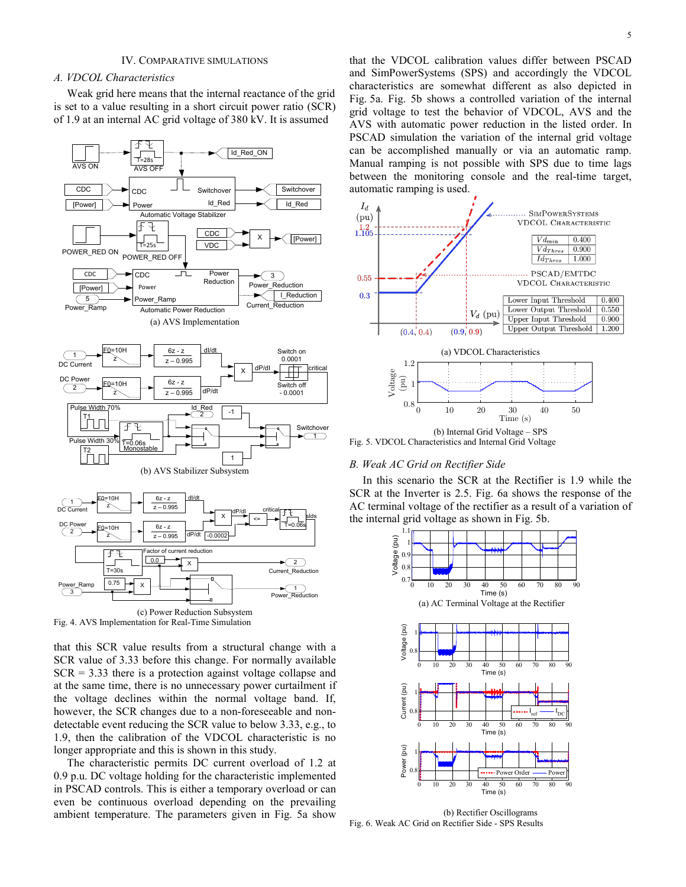### IV. COMPARATIVE SIMULATIONS

## *A. VDCOL Characteristics*

Weak grid here means that the internal reactance of the grid is set to a value resulting in a short circuit power ratio (SCR) of 1.9 at an internal AC grid voltage of 380 kV. It is assumed



Fig. 4. AVS Implementation for Real-Time Simulation

that this SCR value results from a structural change with a SCR value of 3.33 before this change. For normally available  $SCR = 3.33$  there is a protection against voltage collapse and at the same time, there is no unnecessary power curtailment if the voltage declines within the normal voltage band. If, however, the SCR changes due to a non-foreseeable and nondetectable event reducing the SCR value to below 3.33, e.g., to 1.9, then the calibration of the VDCOL characteristic is no longer appropriate and this is shown in this study.

The characteristic permits DC current overload of 1.2 at 0.9 p.u. DC voltage holding for the characteristic implemented in PSCAD controls. This is either a temporary overload or can even be continuous overload depending on the prevailing ambient temperature. The parameters given in Fig. 5a show that the VDCOL calibration values differ between PSCAD and SimPowerSystems (SPS) and accordingly the VDCOL characteristics are somewhat different as also depicted in Fig. 5a. Fig. 5b shows a controlled variation of the internal grid voltage to test the behavior of VDCOL, AVS and the AVS with automatic power reduction in the listed order. In PSCAD simulation the variation of the internal grid voltage can be accomplished manually or via an automatic ramp. Manual ramping is not possible with SPS due to time lags between the monitoring console and the real-time target, automatic ramping is used.



Fig. 5. VDCOL Characteristics and Internal Grid Voltage

## *B. Weak AC Grid on Rectifier Side*

In this scenario the SCR at the Rectifier is 1.9 while the SCR at the Inverter is 2.5. Fig. 6a shows the response of the AC terminal voltage of the rectifier as a result of a variation of the internal grid voltage as shown in Fig. 5b.



<sup>(</sup>b) Rectifier Oscillograms Fig. 6. Weak AC Grid on Rectifier Side - SPS Results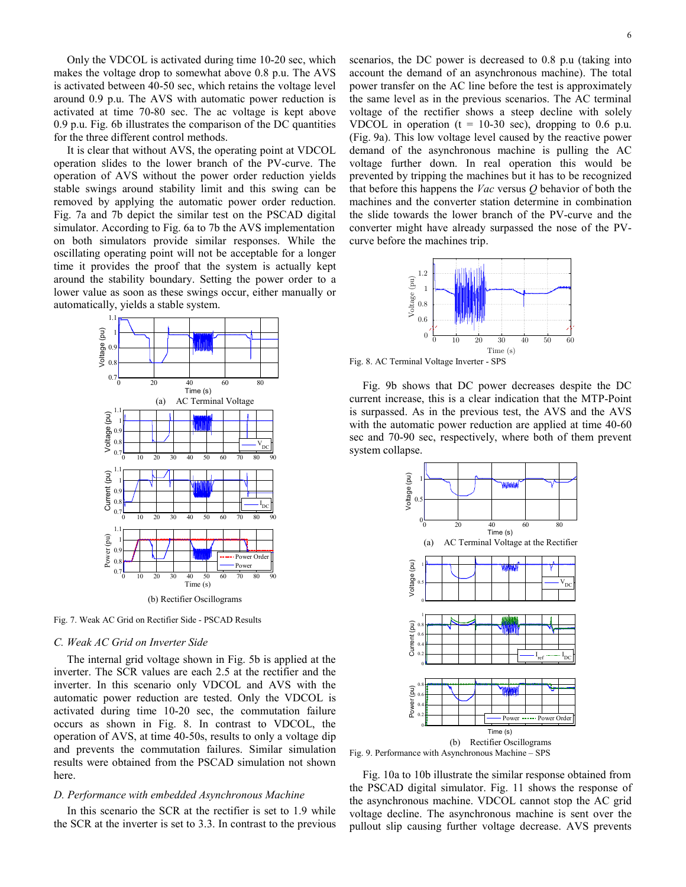Only the VDCOL is activated during time 10-20 sec, which makes the voltage drop to somewhat above 0.8 p.u. The AVS is activated between 40-50 sec, which retains the voltage level around 0.9 p.u. The AVS with automatic power reduction is activated at time 70-80 sec. The ac voltage is kept above 0.9 p.u. Fig. 6b illustrates the comparison of the DC quantities for the three different control methods.

It is clear that without AVS, the operating point at VDCOL operation slides to the lower branch of the PV-curve. The operation of AVS without the power order reduction yields stable swings around stability limit and this swing can be removed by applying the automatic power order reduction. Fig. 7a and 7b depict the similar test on the PSCAD digital simulator. According to Fig. 6a to 7b the AVS implementation on both simulators provide similar responses. While the oscillating operating point will not be acceptable for a longer time it provides the proof that the system is actually kept around the stability boundary. Setting the power order to a lower value as soon as these swings occur, either manually or automatically, yields a stable system.



Fig. 7. Weak AC Grid on Rectifier Side - PSCAD Results

### *C. Weak AC Grid on Inverter Side*

The internal grid voltage shown in Fig. 5b is applied at the inverter. The SCR values are each 2.5 at the rectifier and the inverter. In this scenario only VDCOL and AVS with the automatic power reduction are tested. Only the VDCOL is activated during time 10-20 sec, the commutation failure occurs as shown in Fig. 8. In contrast to VDCOL, the operation of AVS, at time 40-50s, results to only a voltage dip and prevents the commutation failures. Similar simulation results were obtained from the PSCAD simulation not shown here.

## *D. Performance with embedded Asynchronous Machine*

In this scenario the SCR at the rectifier is set to 1.9 while the SCR at the inverter is set to 3.3. In contrast to the previous

scenarios, the DC power is decreased to 0.8 p.u (taking into account the demand of an asynchronous machine). The total power transfer on the AC line before the test is approximately the same level as in the previous scenarios. The AC terminal voltage of the rectifier shows a steep decline with solely VDCOL in operation ( $t = 10-30$  sec), dropping to 0.6 p.u. (Fig. 9a). This low voltage level caused by the reactive power demand of the asynchronous machine is pulling the AC voltage further down. In real operation this would be prevented by tripping the machines but it has to be recognized that before this happens the *Vac* versus *Q* behavior of both the machines and the converter station determine in combination the slide towards the lower branch of the PV-curve and the converter might have already surpassed the nose of the PVcurve before the machines trip.



Fig. 8. AC Terminal Voltage Inverter - SPS

Fig. 9b shows that DC power decreases despite the DC current increase, this is a clear indication that the MTP-Point is surpassed. As in the previous test, the AVS and the AVS with the automatic power reduction are applied at time 40-60 sec and 70-90 sec, respectively, where both of them prevent system collapse.



Fig. 10a to 10b illustrate the similar response obtained from the PSCAD digital simulator. Fig. 11 shows the response of the asynchronous machine. VDCOL cannot stop the AC grid voltage decline. The asynchronous machine is sent over the pullout slip causing further voltage decrease. AVS prevents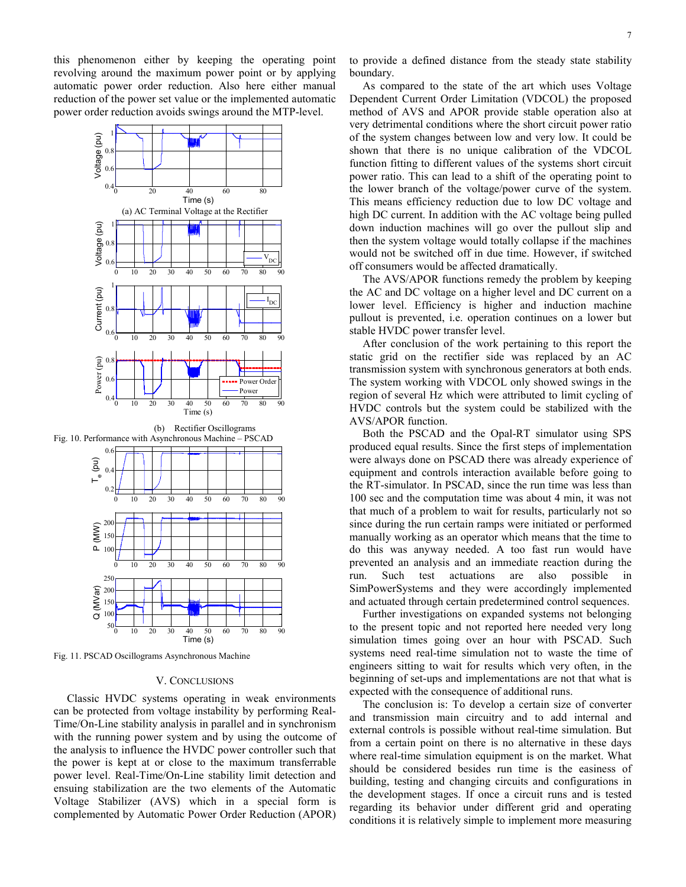this phenomenon either by keeping the operating point revolving around the maximum power point or by applying automatic power order reduction. Also here either manual reduction of the power set value or the implemented automatic power order reduction avoids swings around the MTP-level.



Fig. 11. PSCAD Oscillograms Asynchronous Machine

## V. CONCLUSIONS

Classic HVDC systems operating in weak environments can be protected from voltage instability by performing Real-Time/On-Line stability analysis in parallel and in synchronism with the running power system and by using the outcome of the analysis to influence the HVDC power controller such that the power is kept at or close to the maximum transferrable power level. Real-Time/On-Line stability limit detection and ensuing stabilization are the two elements of the Automatic Voltage Stabilizer (AVS) which in a special form is complemented by Automatic Power Order Reduction (APOR)

to provide a defined distance from the steady state stability boundary.

As compared to the state of the art which uses Voltage Dependent Current Order Limitation (VDCOL) the proposed method of AVS and APOR provide stable operation also at very detrimental conditions where the short circuit power ratio of the system changes between low and very low. It could be shown that there is no unique calibration of the VDCOL function fitting to different values of the systems short circuit power ratio. This can lead to a shift of the operating point to the lower branch of the voltage/power curve of the system. This means efficiency reduction due to low DC voltage and high DC current. In addition with the AC voltage being pulled down induction machines will go over the pullout slip and then the system voltage would totally collapse if the machines would not be switched off in due time. However, if switched off consumers would be affected dramatically.

The AVS/APOR functions remedy the problem by keeping the AC and DC voltage on a higher level and DC current on a lower level. Efficiency is higher and induction machine pullout is prevented, i.e. operation continues on a lower but stable HVDC power transfer level.

After conclusion of the work pertaining to this report the static grid on the rectifier side was replaced by an AC transmission system with synchronous generators at both ends. The system working with VDCOL only showed swings in the region of several Hz which were attributed to limit cycling of HVDC controls but the system could be stabilized with the AVS/APOR function.

Both the PSCAD and the Opal-RT simulator using SPS produced equal results. Since the first steps of implementation were always done on PSCAD there was already experience of equipment and controls interaction available before going to the RT-simulator. In PSCAD, since the run time was less than 100 sec and the computation time was about 4 min, it was not that much of a problem to wait for results, particularly not so since during the run certain ramps were initiated or performed manually working as an operator which means that the time to do this was anyway needed. A too fast run would have prevented an analysis and an immediate reaction during the run. Such test actuations are also possible in SimPowerSystems and they were accordingly implemented and actuated through certain predetermined control sequences.

Further investigations on expanded systems not belonging to the present topic and not reported here needed very long simulation times going over an hour with PSCAD. Such systems need real-time simulation not to waste the time of engineers sitting to wait for results which very often, in the beginning of set-ups and implementations are not that what is expected with the consequence of additional runs.

The conclusion is: To develop a certain size of converter and transmission main circuitry and to add internal and external controls is possible without real-time simulation. But from a certain point on there is no alternative in these days where real-time simulation equipment is on the market. What should be considered besides run time is the easiness of building, testing and changing circuits and configurations in the development stages. If once a circuit runs and is tested regarding its behavior under different grid and operating conditions it is relatively simple to implement more measuring